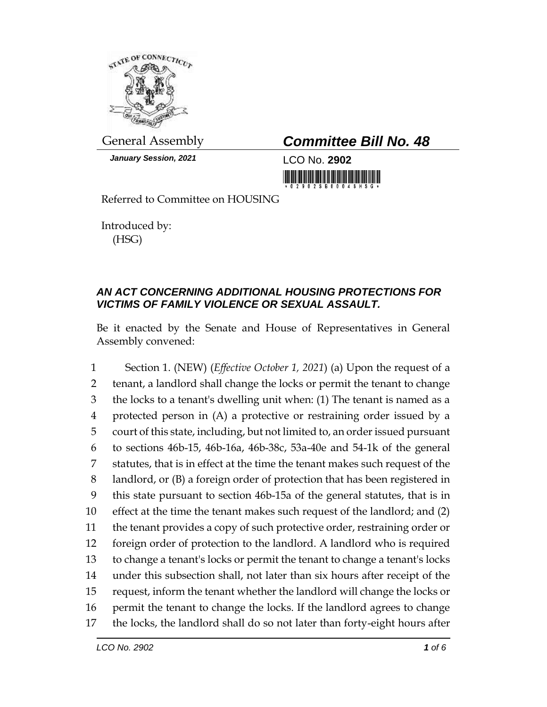

*January Session, 2021* LCO No. **2902**

General Assembly *Committee Bill No. 48*

<u> 1999 - Andrea Standard Barbara, Amerikaansk politik (</u>

Referred to Committee on HOUSING

Introduced by: (HSG)

## *AN ACT CONCERNING ADDITIONAL HOUSING PROTECTIONS FOR VICTIMS OF FAMILY VIOLENCE OR SEXUAL ASSAULT.*

Be it enacted by the Senate and House of Representatives in General Assembly convened:

 Section 1. (NEW) (*Effective October 1, 2021*) (a) Upon the request of a tenant, a landlord shall change the locks or permit the tenant to change the locks to a tenant's dwelling unit when: (1) The tenant is named as a protected person in (A) a protective or restraining order issued by a court of this state, including, but not limited to, an order issued pursuant to sections 46b-15, 46b-16a, 46b-38c, 53a-40e and 54-1k of the general statutes, that is in effect at the time the tenant makes such request of the landlord, or (B) a foreign order of protection that has been registered in this state pursuant to section 46b-15a of the general statutes, that is in effect at the time the tenant makes such request of the landlord; and (2) the tenant provides a copy of such protective order, restraining order or foreign order of protection to the landlord. A landlord who is required to change a tenant's locks or permit the tenant to change a tenant's locks under this subsection shall, not later than six hours after receipt of the request, inform the tenant whether the landlord will change the locks or permit the tenant to change the locks. If the landlord agrees to change the locks, the landlord shall do so not later than forty-eight hours after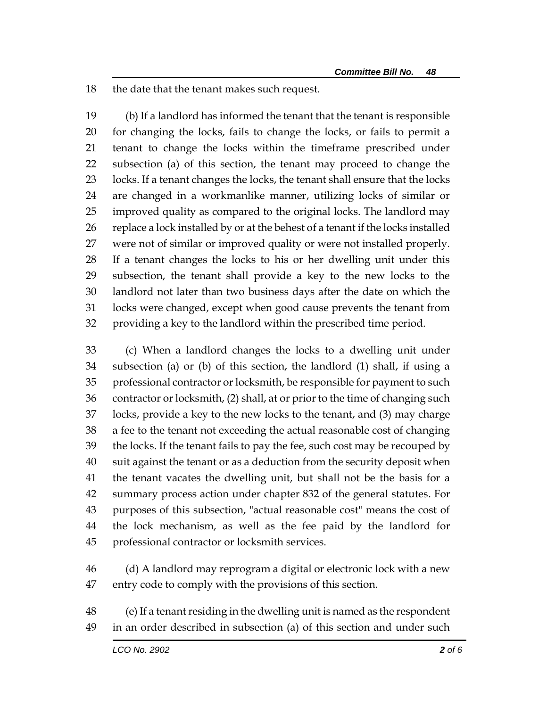the date that the tenant makes such request.

 (b) If a landlord has informed the tenant that the tenant is responsible for changing the locks, fails to change the locks, or fails to permit a tenant to change the locks within the timeframe prescribed under subsection (a) of this section, the tenant may proceed to change the locks. If a tenant changes the locks, the tenant shall ensure that the locks are changed in a workmanlike manner, utilizing locks of similar or improved quality as compared to the original locks. The landlord may replace a lock installed by or at the behest of a tenant if the locks installed were not of similar or improved quality or were not installed properly. If a tenant changes the locks to his or her dwelling unit under this subsection, the tenant shall provide a key to the new locks to the landlord not later than two business days after the date on which the locks were changed, except when good cause prevents the tenant from providing a key to the landlord within the prescribed time period.

 (c) When a landlord changes the locks to a dwelling unit under subsection (a) or (b) of this section, the landlord (1) shall, if using a professional contractor or locksmith, be responsible for payment to such contractor or locksmith, (2) shall, at or prior to the time of changing such locks, provide a key to the new locks to the tenant, and (3) may charge a fee to the tenant not exceeding the actual reasonable cost of changing the locks. If the tenant fails to pay the fee, such cost may be recouped by suit against the tenant or as a deduction from the security deposit when the tenant vacates the dwelling unit, but shall not be the basis for a summary process action under chapter 832 of the general statutes. For purposes of this subsection, "actual reasonable cost" means the cost of the lock mechanism, as well as the fee paid by the landlord for professional contractor or locksmith services.

- (d) A landlord may reprogram a digital or electronic lock with a new entry code to comply with the provisions of this section.
- (e) If a tenant residing in the dwelling unit is named as the respondent in an order described in subsection (a) of this section and under such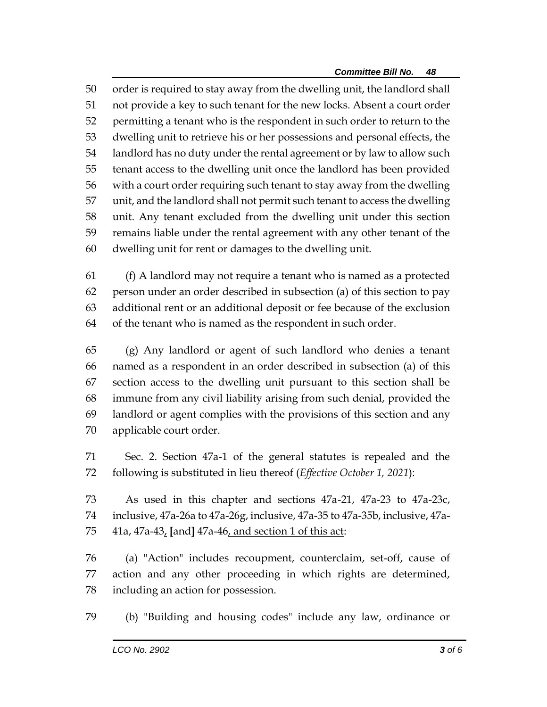order is required to stay away from the dwelling unit, the landlord shall not provide a key to such tenant for the new locks. Absent a court order permitting a tenant who is the respondent in such order to return to the dwelling unit to retrieve his or her possessions and personal effects, the landlord has no duty under the rental agreement or by law to allow such tenant access to the dwelling unit once the landlord has been provided with a court order requiring such tenant to stay away from the dwelling unit, and the landlord shall not permit such tenant to access the dwelling unit. Any tenant excluded from the dwelling unit under this section remains liable under the rental agreement with any other tenant of the dwelling unit for rent or damages to the dwelling unit.

 (f) A landlord may not require a tenant who is named as a protected person under an order described in subsection (a) of this section to pay additional rent or an additional deposit or fee because of the exclusion of the tenant who is named as the respondent in such order.

 (g) Any landlord or agent of such landlord who denies a tenant named as a respondent in an order described in subsection (a) of this section access to the dwelling unit pursuant to this section shall be immune from any civil liability arising from such denial, provided the landlord or agent complies with the provisions of this section and any applicable court order.

 Sec. 2. Section 47a-1 of the general statutes is repealed and the following is substituted in lieu thereof (*Effective October 1, 2021*):

 As used in this chapter and sections 47a-21, 47a-23 to 47a-23c, inclusive, 47a-26a to 47a-26g, inclusive, 47a-35 to 47a-35b, inclusive, 47a-41a, 47a-43, **[**and**]** 47a-46, and section 1 of this act:

 (a) "Action" includes recoupment, counterclaim, set-off, cause of action and any other proceeding in which rights are determined, including an action for possession.

(b) "Building and housing codes" include any law, ordinance or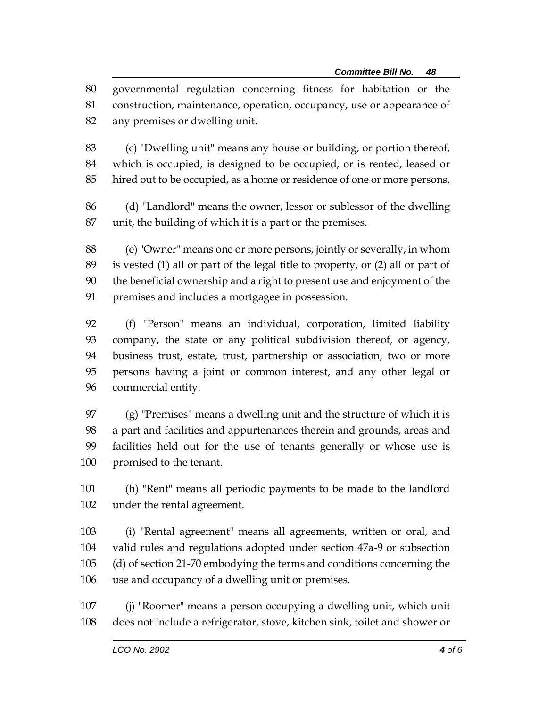governmental regulation concerning fitness for habitation or the construction, maintenance, operation, occupancy, use or appearance of any premises or dwelling unit.

 (c) "Dwelling unit" means any house or building, or portion thereof, which is occupied, is designed to be occupied, or is rented, leased or hired out to be occupied, as a home or residence of one or more persons.

 (d) "Landlord" means the owner, lessor or sublessor of the dwelling unit, the building of which it is a part or the premises.

 (e) "Owner" means one or more persons, jointly or severally, in whom is vested (1) all or part of the legal title to property, or (2) all or part of the beneficial ownership and a right to present use and enjoyment of the premises and includes a mortgagee in possession.

 (f) "Person" means an individual, corporation, limited liability company, the state or any political subdivision thereof, or agency, business trust, estate, trust, partnership or association, two or more persons having a joint or common interest, and any other legal or commercial entity.

 (g) "Premises" means a dwelling unit and the structure of which it is a part and facilities and appurtenances therein and grounds, areas and facilities held out for the use of tenants generally or whose use is promised to the tenant.

 (h) "Rent" means all periodic payments to be made to the landlord under the rental agreement.

 (i) "Rental agreement" means all agreements, written or oral, and valid rules and regulations adopted under section 47a-9 or subsection (d) of section 21-70 embodying the terms and conditions concerning the use and occupancy of a dwelling unit or premises.

 (j) "Roomer" means a person occupying a dwelling unit, which unit does not include a refrigerator, stove, kitchen sink, toilet and shower or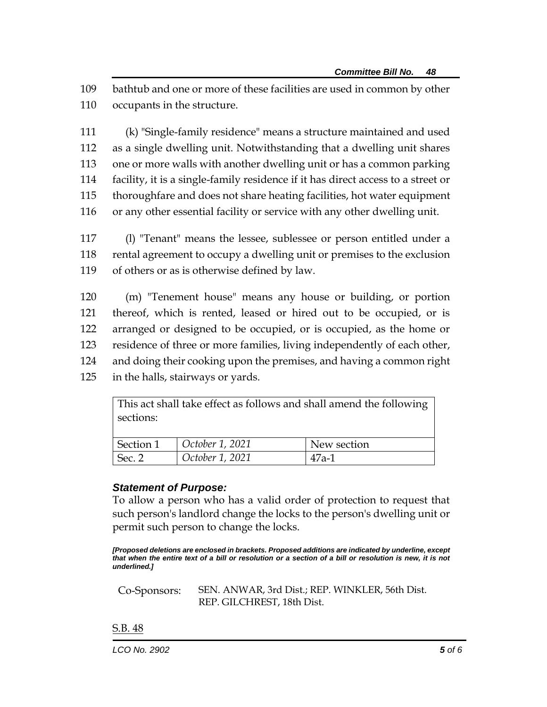109 bathtub and one or more of these facilities are used in common by other 110 occupants in the structure.

 (k) "Single-family residence" means a structure maintained and used as a single dwelling unit. Notwithstanding that a dwelling unit shares one or more walls with another dwelling unit or has a common parking facility, it is a single-family residence if it has direct access to a street or thoroughfare and does not share heating facilities, hot water equipment or any other essential facility or service with any other dwelling unit.

117 (l) "Tenant" means the lessee, sublessee or person entitled under a 118 rental agreement to occupy a dwelling unit or premises to the exclusion 119 of others or as is otherwise defined by law.

 (m) "Tenement house" means any house or building, or portion thereof, which is rented, leased or hired out to be occupied, or is arranged or designed to be occupied, or is occupied, as the home or residence of three or more families, living independently of each other, and doing their cooking upon the premises, and having a common right in the halls, stairways or yards.

> This act shall take effect as follows and shall amend the following sections:

| Section 1 | October 1, 2021 | New section |
|-----------|-----------------|-------------|
| Sec. 2    | October 1, 2021 | $47a-1$     |

## *Statement of Purpose:*

To allow a person who has a valid order of protection to request that such person's landlord change the locks to the person's dwelling unit or permit such person to change the locks.

*[Proposed deletions are enclosed in brackets. Proposed additions are indicated by underline, except that when the entire text of a bill or resolution or a section of a bill or resolution is new, it is not underlined.]*

Co-Sponsors: SEN. ANWAR, 3rd Dist.; REP. WINKLER, 56th Dist. REP. GILCHREST, 18th Dist.

S.B. 48